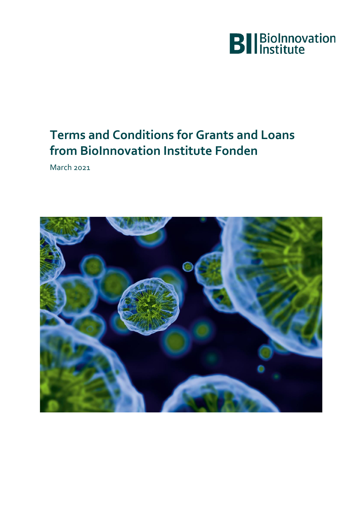

# **Terms and Conditions for Grants and Loans from BioInnovation Institute Fonden**

March 2021

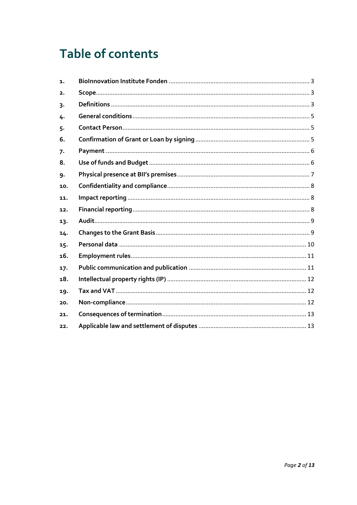# **Table of contents**

| 1.    |  |
|-------|--|
| 2.    |  |
| 3.    |  |
| 4.    |  |
| $5 -$ |  |
| 6.    |  |
| 7.    |  |
| 8.    |  |
| 9.    |  |
| 10.   |  |
| 11.   |  |
| 12.   |  |
| 13.   |  |
| 14.   |  |
| 15.   |  |
| 16.   |  |
| 17.   |  |
| 18.   |  |
| 19.   |  |
| 20.   |  |
| 21.   |  |
| 22.   |  |
|       |  |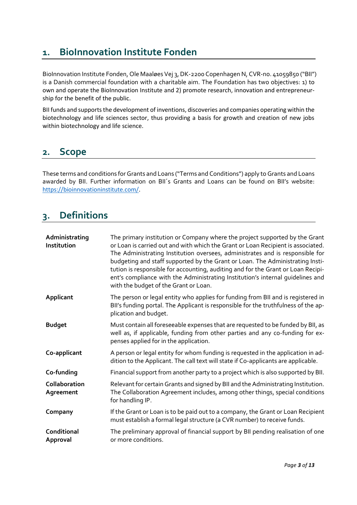# <span id="page-2-0"></span>**1. BioInnovation Institute Fonden**

BioInnovation Institute Fonden, Ole Maaløes Vej 3, DK-2200 Copenhagen N, CVR-no. 41059850 ("BII") is a Danish commercial foundation with a charitable aim. The Foundation has two objectives: 1) to own and operate the BioInnovation Institute and 2) promote research, innovation and entrepreneurship for the benefit of the public.

BII funds and supports the development of inventions, discoveries and companies operating within the biotechnology and life sciences sector, thus providing a basis for growth and creation of new jobs within biotechnology and life science.

# <span id="page-2-1"></span>**2. Scope**

These terms and conditions for Grants and Loans ("Terms and Conditions") apply to Grants and Loans awarded by BII. Further information on BII´s Grants and Loans can be found on BII's website: [https://bioinnovationinstitute.com/.](https://bioinnovationinstitute.com/)

# <span id="page-2-2"></span>**3. Definitions**

| Administrating<br>Institution | The primary institution or Company where the project supported by the Grant<br>or Loan is carried out and with which the Grant or Loan Recipient is associated.<br>The Administrating Institution oversees, administrates and is responsible for<br>budgeting and staff supported by the Grant or Loan. The Administrating Insti-<br>tution is responsible for accounting, auditing and for the Grant or Loan Recipi-<br>ent's compliance with the Administrating Institution's internal guidelines and<br>with the budget of the Grant or Loan. |
|-------------------------------|--------------------------------------------------------------------------------------------------------------------------------------------------------------------------------------------------------------------------------------------------------------------------------------------------------------------------------------------------------------------------------------------------------------------------------------------------------------------------------------------------------------------------------------------------|
| Applicant                     | The person or legal entity who applies for funding from BII and is registered in<br>BII's funding portal. The Applicant is responsible for the truthfulness of the ap-<br>plication and budget.                                                                                                                                                                                                                                                                                                                                                  |
| <b>Budget</b>                 | Must contain all foreseeable expenses that are requested to be funded by BII, as<br>well as, if applicable, funding from other parties and any co-funding for ex-<br>penses applied for in the application.                                                                                                                                                                                                                                                                                                                                      |
| Co-applicant                  | A person or legal entity for whom funding is requested in the application in ad-<br>dition to the Applicant. The call text will state if Co-applicants are applicable.                                                                                                                                                                                                                                                                                                                                                                           |
| Co-funding                    | Financial support from another party to a project which is also supported by BII.                                                                                                                                                                                                                                                                                                                                                                                                                                                                |
| Collaboration<br>Agreement    | Relevant for certain Grants and signed by BII and the Administrating Institution.<br>The Collaboration Agreement includes, among other things, special conditions<br>for handling IP.                                                                                                                                                                                                                                                                                                                                                            |
| Company                       | If the Grant or Loan is to be paid out to a company, the Grant or Loan Recipient<br>must establish a formal legal structure (a CVR number) to receive funds.                                                                                                                                                                                                                                                                                                                                                                                     |
| Conditional<br>Approval       | The preliminary approval of financial support by BII pending realisation of one<br>or more conditions.                                                                                                                                                                                                                                                                                                                                                                                                                                           |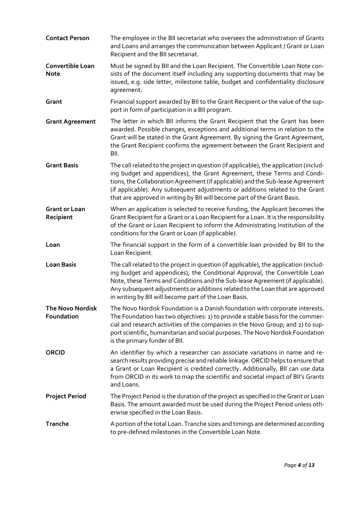| <b>Contact Person</b>                 | The employee in the BII secretariat who oversees the administration of Grants<br>and Loans and arranges the communication between Applicant / Grant or Loan<br>Recipient and the BII secretariat.                                                                                                                                                                                                               |
|---------------------------------------|-----------------------------------------------------------------------------------------------------------------------------------------------------------------------------------------------------------------------------------------------------------------------------------------------------------------------------------------------------------------------------------------------------------------|
| Convertible Loan<br><b>Note</b>       | Must be signed by BII and the Loan Recipient. The Convertible Loan Note con-<br>sists of the document itself including any supporting documents that may be<br>issued, e.g. side letter, milestone table, budget and confidentiality disclosure<br>agreement.                                                                                                                                                   |
| Grant                                 | Financial support awarded by BII to the Grant Recipient or the value of the sup-<br>port in form of participation in a BII program.                                                                                                                                                                                                                                                                             |
| <b>Grant Agreement</b>                | The letter in which BII informs the Grant Recipient that the Grant has been<br>awarded. Possible changes, exceptions and additional terms in relation to the<br>Grant will be stated in the Grant Agreement. By signing the Grant Agreement,<br>the Grant Recipient confirms the agreement between the Grant Recipient and<br>BII.                                                                              |
| <b>Grant Basis</b>                    | The call related to the project in question (if applicable), the application (includ-<br>ing budget and appendices), the Grant Agreement, these Terms and Condi-<br>tions, the Collaboration Agreement (if applicable) and the Sub-lease Agreement<br>(if applicable). Any subsequent adjustments or additions related to the Grant<br>that are approved in writing by BII will become part of the Grant Basis. |
| <b>Grant or Loan</b><br>Recipient     | When an application is selected to receive funding, the Applicant becomes the<br>Grant Recipient for a Grant or a Loan Recipient for a Loan. It is the responsibility<br>of the Grant or Loan Recipient to inform the Administrating Institution of the<br>conditions for the Grant or Loan (if applicable).                                                                                                    |
| Loan                                  | The financial support in the form of a convertible loan provided by BII to the<br>Loan Recipient.                                                                                                                                                                                                                                                                                                               |
| <b>Loan Basis</b>                     | The call related to the project in question (if applicable), the application (includ-<br>ing budget and appendices), the Conditional Approval, the Convertible Loan<br>Note, these Terms and Conditions and the Sub-lease Agreement (if applicable).<br>Any subsequent adjustments or additions related to the Loan that are approved<br>in writing by BII will become part of the Loan Basis.                  |
| <b>The Novo Nordisk</b><br>Foundation | The Novo Nordisk Foundation is a Danish foundation with corporate interests.<br>The Foundation has two objectives: 1) to provide a stable basis for the commer-<br>cial and research activities of the companies in the Novo Group; and 2) to sup-<br>port scientific, humanitarian and social purposes. The Novo Nordisk Foundation<br>is the primary funder of BII.                                           |
| <b>ORCID</b>                          | An identifier by which a researcher can associate variations in name and re-<br>search results providing precise and reliable linkage. ORCID helps to ensure that<br>a Grant or Loan Recipient is credited correctly. Additionally, BII can use data<br>from ORCID in its work to map the scientific and societal impact of BII's Grants<br>and Loans.                                                          |
| <b>Project Period</b>                 | The Project Period is the duration of the project as specified in the Grant or Loan<br>Basis. The amount awarded must be used during the Project Period unless oth-<br>erwise specified in the Loan Basis.                                                                                                                                                                                                      |
| Tranche                               | A portion of the total Loan. Tranche sizes and timings are determined according<br>to pre-defined milestones in the Convertible Loan Note.                                                                                                                                                                                                                                                                      |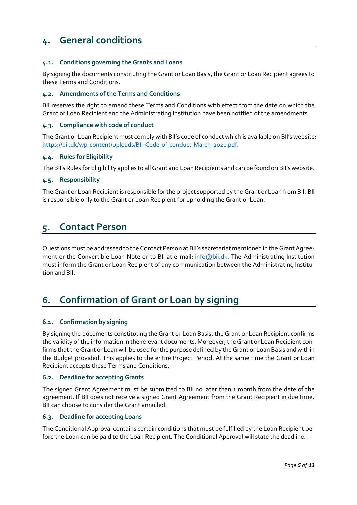# <span id="page-4-0"></span>**4. General conditions**

# **4.1. Conditions governing the Grants and Loans**

By signing the documents constituting the Grant or Loan Basis, the Grant or Loan Recipient agrees to these Terms and Conditions.

# **4.2. Amendments of the Terms and Conditions**

BII reserves the right to amend these Terms and Conditions with effect from the date on which the Grant or Loan Recipient and the Administrating Institution have been notified of the amendments.

# **4.3. Compliance with code of conduct**

The Grant or Loan Recipient must comply with BII's code of conduct which is available on BII's website: [https://bii.dk/wp-content/uploads/BII-Code-of-conduct-March-2021.pdf.](https://bii.dk/wp-content/uploads/BII-Code-of-conduct-March-2021.pdf)

## **4.4. Rules for Eligibility**

The BII's Rules for Eligibility applies to all Grant and Loan Recipients and can be found on BII's website.

# **4.5. Responsibility**

The Grant or Loan Recipient is responsible for the project supported by the Grant or Loan from BII. BII is responsible only to the Grant or Loan Recipient for upholding the Grant or Loan.

# <span id="page-4-1"></span>**5. Contact Person**

Questions must be addressed to the Contact Person at BII's secretariat mentioned in the Grant Agreement or the Convertible Loan Note or to BII at e-mail: [info@bii.dk.](mailto:info@bii.dk) The Administrating Institution must inform the Grant or Loan Recipient of any communication between the Administrating Institution and BII.

# <span id="page-4-2"></span>**6. Confirmation of Grant or Loan by signing**

## **6.1. Confirmation by signing**

By signing the documents constituting the Grant or Loan Basis, the Grant or Loan Recipient confirms the validity of the information in the relevant documents. Moreover, the Grant or Loan Recipient confirms that the Grant or Loan will be used for the purpose defined by the Grant or Loan Basis and within the Budget provided. This applies to the entire Project Period. At the same time the Grant or Loan Recipient accepts these Terms and Conditions.

# **6.2. Deadline for accepting Grants**

The signed Grant Agreement must be submitted to BII no later than 1 month from the date of the agreement. If BII does not receive a signed Grant Agreement from the Grant Recipient in due time, BII can choose to consider the Grant annulled.

## **6.3. Deadline for accepting Loans**

The Conditional Approval contains certain conditions that must be fulfilled by the Loan Recipient before the Loan can be paid to the Loan Recipient. The Conditional Approval will state the deadline.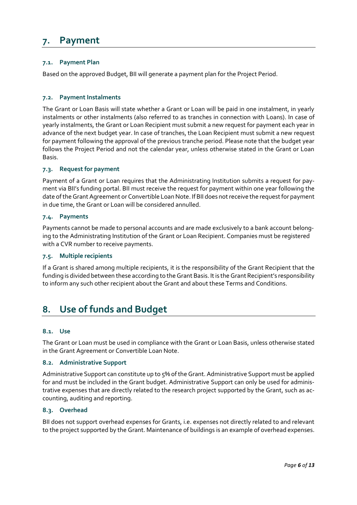# <span id="page-5-0"></span>**7. Payment**

# **7.1. Payment Plan**

Based on the approved Budget, BII will generate a payment plan for the Project Period.

# **7.2. Payment Instalments**

The Grant or Loan Basis will state whether a Grant or Loan will be paid in one instalment, in yearly instalments or other instalments (also referred to as tranches in connection with Loans). In case of yearly instalments, the Grant or Loan Recipient must submit a new request for payment each year in advance of the next budget year. In case of tranches, the Loan Recipient must submit a new request for payment following the approval of the previous tranche period. Please note that the budget year follows the Project Period and not the calendar year, unless otherwise stated in the Grant or Loan Basis.

## **7.3. Request for payment**

Payment of a Grant or Loan requires that the Administrating Institution submits a request for payment via BII's funding portal. BII must receive the request for payment within one year following the date of the Grant Agreement or Convertible Loan Note. If BII does not receive the request for payment in due time, the Grant or Loan will be considered annulled.

## **7.4. Payments**

Payments cannot be made to personal accounts and are made exclusively to a bank account belonging to the Administrating Institution of the Grant or Loan Recipient. Companies must be registered with a CVR number to receive payments.

# **7.5. Multiple recipients**

If a Grant is shared among multiple recipients, it is the responsibility of the Grant Recipient that the funding is divided between these according to the Grant Basis. It is the Grant Recipient's responsibility to inform any such other recipient about the Grant and about these Terms and Conditions.

# <span id="page-5-1"></span>**8. Use of funds and Budget**

## **8.1. Use**

The Grant or Loan must be used in compliance with the Grant or Loan Basis, unless otherwise stated in the Grant Agreement or Convertible Loan Note.

## **8.2. Administrative Support**

Administrative Support can constitute up to 5% of the Grant. Administrative Support must be applied for and must be included in the Grant budget. Administrative Support can only be used for administrative expenses that are directly related to the research project supported by the Grant, such as accounting, auditing and reporting.

# **8.3. Overhead**

BII does not support overhead expenses for Grants, i.e. expenses not directly related to and relevant to the project supported by the Grant. Maintenance of buildings is an example of overhead expenses.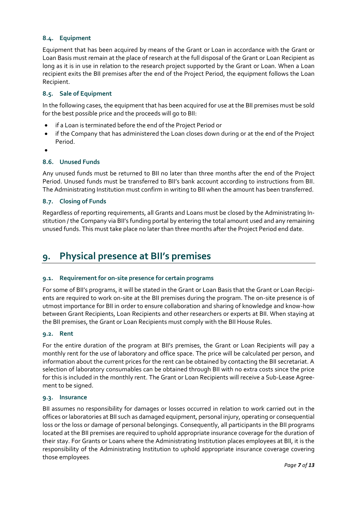# **8.4. Equipment**

Equipment that has been acquired by means of the Grant or Loan in accordance with the Grant or Loan Basis must remain at the place of research at the full disposal of the Grant or Loan Recipient as long as it is in use in relation to the research project supported by the Grant or Loan. When a Loan recipient exits the BII premises after the end of the Project Period, the equipment follows the Loan Recipient.

# **8.5. Sale of Equipment**

In the following cases, the equipment that has been acquired for use at the BII premises must be sold for the best possible price and the proceeds will go to BII:

- if a Loan is terminated before the end of the Project Period or
- if the Company that has administered the Loan closes down during or at the end of the Project Period.
- •

# **8.6. Unused Funds**

Any unused funds must be returned to BII no later than three months after the end of the Project Period. Unused funds must be transferred to BII's bank account according to instructions from BII. The Administrating Institution must confirm in writing to BII when the amount has been transferred.

# **8.7. Closing of Funds**

Regardless of reporting requirements, all Grants and Loans must be closed by the Administrating Institution / the Company via BII's funding portal by entering the total amount used and any remaining unused funds. This must take place no later than three months after the Project Period end date.

# <span id="page-6-0"></span>**9. Physical presence at BII's premises**

# **9.1. Requirement for on-site presence for certain programs**

For some of BII's programs, it will be stated in the Grant or Loan Basis that the Grant or Loan Recipients are required to work on-site at the BII premises during the program. The on-site presence is of utmost importance for BII in order to ensure collaboration and sharing of knowledge and know-how between Grant Recipients, Loan Recipients and other researchers or experts at BII. When staying at the BII premises, the Grant or Loan Recipients must comply with the BII House Rules.

## **9.2. Rent**

For the entire duration of the program at BII's premises, the Grant or Loan Recipients will pay a monthly rent for the use of laboratory and office space. The price will be calculated per person, and information about the current prices for the rent can be obtained by contacting the BII secretariat. A selection of laboratory consumables can be obtained through BII with no extra costs since the price for this is included in the monthly rent. The Grant or Loan Recipients will receive a Sub-Lease Agreement to be signed.

# **9.3. Insurance**

BII assumes no responsibility for damages or losses occurred in relation to work carried out in the offices or laboratories at BII such as damaged equipment, personal injury, operating or consequential loss or the loss or damage of personal belongings. Consequently, all participants in the BII programs located at the BII premises are required to uphold appropriate insurance coverage for the duration of their stay. For Grants or Loans where the Administrating Institution places employees at BII, it is the responsibility of the Administrating Institution to uphold appropriate insurance coverage covering those employees.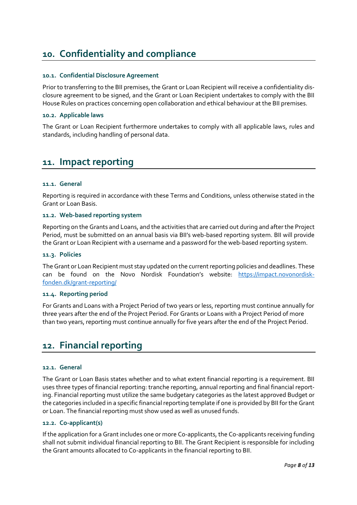# <span id="page-7-0"></span>**10. Confidentiality and compliance**

# **10.1. Confidential Disclosure Agreement**

Prior to transferring to the BII premises, the Grant or Loan Recipient will receive a confidentiality disclosure agreement to be signed, and the Grant or Loan Recipient undertakes to comply with the BII House Rules on practices concerning open collaboration and ethical behaviour at the BII premises.

# **10.2. Applicable laws**

The Grant or Loan Recipient furthermore undertakes to comply with all applicable laws, rules and standards, including handling of personal data.

# <span id="page-7-1"></span>**11. Impact reporting**

# **11.1. General**

Reporting is required in accordance with these Terms and Conditions, unless otherwise stated in the Grant or Loan Basis.

## **11.2. Web-based reporting system**

Reporting on the Grants and Loans, and the activities that are carried out during and after the Project Period, must be submitted on an annual basis via BII's web-based reporting system. BII will provide the Grant or Loan Recipient with a username and a password for the web-based reporting system.

## **11.3. Policies**

The Grant or Loan Recipient must stay updated on the current reporting policies and deadlines. These can be found on the Novo Nordisk Foundation's website: [https://impact.novonordisk](https://impact.novonordiskfonden.dk/grant-reporting/)[fonden.dk/grant-reporting/](https://impact.novonordiskfonden.dk/grant-reporting/)

## **11.4. Reporting period**

For Grants and Loans with a Project Period of two years or less, reporting must continue annually for three years after the end of the Project Period. For Grants or Loans with a Project Period of more than two years, reporting must continue annually for five years after the end of the Project Period.

# <span id="page-7-2"></span>**12. Financial reporting**

## **12.1. General**

The Grant or Loan Basis states whether and to what extent financial reporting is a requirement. BII uses three types of financial reporting: tranche reporting, annual reporting and final financial reporting. Financial reporting must utilize the same budgetary categories as the latest approved Budget or the categories included in a specific financial reporting template if one is provided by BII for the Grant or Loan. The financial reporting must show used as well as unused funds.

# **12.2. Co-applicant(s)**

If the application for a Grant includes one or more Co-applicants, the Co-applicants receiving funding shall not submit individual financial reporting to BII. The Grant Recipient is responsible for including the Grant amounts allocated to Co-applicants in the financial reporting to BII.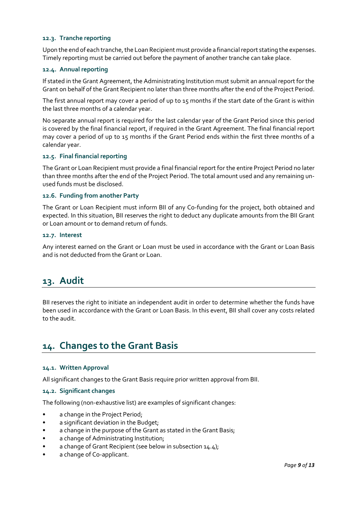# **12.3. Tranche reporting**

Upon the end of each tranche, the Loan Recipient must provide a financial report stating the expenses. Timely reporting must be carried out before the payment of another tranche can take place.

# **12.4. Annual reporting**

If stated in the Grant Agreement, the Administrating Institution must submit an annual report for the Grant on behalf of the Grant Recipient no later than three months after the end of the Project Period.

The first annual report may cover a period of up to 15 months if the start date of the Grant is within the last three months of a calendar year.

No separate annual report is required for the last calendar year of the Grant Period since this period is covered by the final financial report, if required in the Grant Agreement. The final financial report may cover a period of up to 15 months if the Grant Period ends within the first three months of a calendar year.

#### **12.5. Final financial reporting**

The Grant or Loan Recipient must provide a final financial report for the entire Project Period no later than three months after the end of the Project Period. The total amount used and any remaining unused funds must be disclosed.

### **12.6. Funding from another Party**

The Grant or Loan Recipient must inform BII of any Co-funding for the project, both obtained and expected. In this situation, BII reserves the right to deduct any duplicate amounts from the BII Grant or Loan amount or to demand return of funds.

#### **12.7. Interest**

Any interest earned on the Grant or Loan must be used in accordance with the Grant or Loan Basis and is not deducted from the Grant or Loan.

# <span id="page-8-0"></span>**13. Audit**

BII reserves the right to initiate an independent audit in order to determine whether the funds have been used in accordance with the Grant or Loan Basis. In this event, BII shall cover any costs related to the audit.

# <span id="page-8-1"></span>**14. Changes to the Grant Basis**

#### **14.1. Written Approval**

All significant changes to the Grant Basis require prior written approval from BII.

# **14.2. Significant changes**

The following (non-exhaustive list) are examples of significant changes:

- a change in the Project Period;
- a significant deviation in the Budget;
- a change in the purpose of the Grant as stated in the Grant Basis;
- a change of Administrating Institution;
- a change of Grant Recipient (see below in subsectio[n 14.4\)](#page-9-1);
- a change of Co-applicant.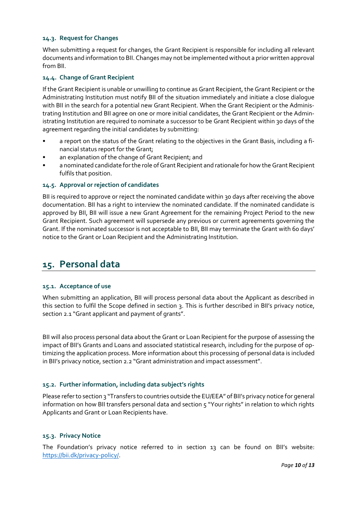# **14.3. Request for Changes**

When submitting a request for changes, the Grant Recipient is responsible for including all relevant documents and information to BII. Changes may not be implemented without a prior written approval from BII.

# <span id="page-9-1"></span>**14.4. Change of Grant Recipient**

If the Grant Recipient is unable or unwilling to continue as Grant Recipient, the Grant Recipient or the Administrating Institution must notify BII of the situation immediately and initiate a close dialogue with BII in the search for a potential new Grant Recipient. When the Grant Recipient or the Administrating Institution and BII agree on one or more initial candidates, the Grant Recipient or the Administrating Institution are required to nominate a successor to be Grant Recipient within 30 days of the agreement regarding the initial candidates by submitting:

- a report on the status of the Grant relating to the objectives in the Grant Basis, including a financial status report for the Grant;
- an explanation of the change of Grant Recipient; and
- a nominated candidate for the role of Grant Recipient and rationale for how the Grant Recipient fulfils that position.

# **14.5. Approval or rejection of candidates**

BII is required to approve or reject the nominated candidate within 30 days after receiving the above documentation. BII has a right to interview the nominated candidate. If the nominated candidate is approved by BII, BII will issue a new Grant Agreement for the remaining Project Period to the new Grant Recipient. Such agreement will supersede any previous or current agreements governing the Grant. If the nominated successor is not acceptable to BII, BII may terminate the Grant with 60 days' notice to the Grant or Loan Recipient and the Administrating Institution.

# <span id="page-9-0"></span>**15. Personal data**

## **15.1. Acceptance of use**

When submitting an application, BII will process personal data about the Applicant as described in this section to fulfil the Scope defined in section 3. This is further described in BII's privacy notice, section 2.1 "Grant applicant and payment of grants".

BII will also process personal data about the Grant or Loan Recipient for the purpose of assessing the impact of BII's Grants and Loans and associated statistical research, including for the purpose of optimizing the application process. More information about this processing of personal data is included in BII's privacy notice, section 2.2 "Grant administration and impact assessment".

## **15.2. Further information, including data subject's rights**

Please refer to section 3 "Transfers to countries outside the EU/EEA" of BII's privacy notice for general information on how BII transfers personal data and section 5 "Your rights" in relation to which rights Applicants and Grant or Loan Recipients have.

# **15.3. Privacy Notice**

The Foundation's privacy notice referred to in section 13 can be found on BII's website: [https://bii.dk/privacy-policy/.](https://bii.dk/privacy-policy/)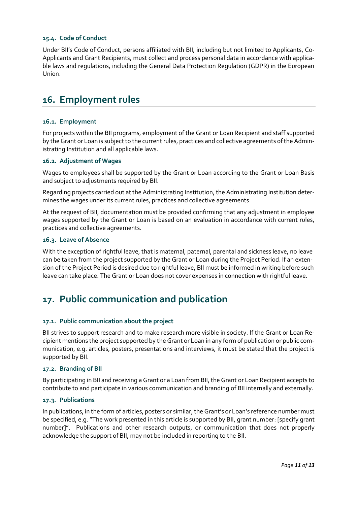# **15.4. Code of Conduct**

Under BII's Code of Conduct, persons affiliated with BII, including but not limited to Applicants, Co-Applicants and Grant Recipients, must collect and process personal data in accordance with applicable laws and regulations, including the General Data Protection Regulation (GDPR) in the European Union.

# <span id="page-10-0"></span>**16. Employment rules**

# **16.1. Employment**

For projects within the BII programs, employment of the Grant or Loan Recipient and staff supported by the Grant or Loan is subject to the current rules, practices and collective agreements of the Administrating Institution and all applicable laws.

## **16.2. Adjustment of Wages**

Wages to employees shall be supported by the Grant or Loan according to the Grant or Loan Basis and subject to adjustments required by BII.

Regarding projects carried out at the Administrating Institution, the Administrating Institution determines the wages under its current rules, practices and collective agreements.

At the request of BII, documentation must be provided confirming that any adjustment in employee wages supported by the Grant or Loan is based on an evaluation in accordance with current rules, practices and collective agreements.

# **16.3. Leave of Absence**

With the exception of rightful leave, that is maternal, paternal, parental and sickness leave, no leave can be taken from the project supported by the Grant or Loan during the Project Period. If an extension of the Project Period is desired due to rightful leave, BII must be informed in writing before such leave can take place. The Grant or Loan does not cover expenses in connection with rightful leave.

# <span id="page-10-1"></span>**17. Public communication and publication**

## **17.1. Public communication about the project**

BII strives to support research and to make research more visible in society. If the Grant or Loan Recipient mentions the project supported by the Grant or Loan in any form of publication or public communication, e.g. articles, posters, presentations and interviews, it must be stated that the project is supported by BII.

## **17.2. Branding of BII**

By participating in BII and receiving a Grant or a Loan from BII, the Grant or Loan Recipient accepts to contribute to and participate in various communication and branding of BII internally and externally.

## **17.3. Publications**

In publications, in the form of articles, posters or similar, the Grant's or Loan's reference number must be specified, e.g. "The work presented in this article is supported by BII, grant number: [specify grant number]". Publications and other research outputs, or communication that does not properly acknowledge the support of BII, may not be included in reporting to the BII.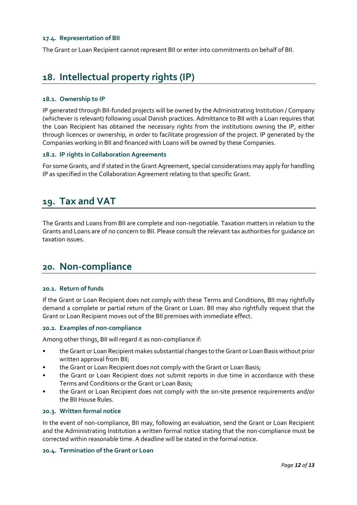#### **17.4. Representation of BII**

The Grant or Loan Recipient cannot represent BII or enter into commitments on behalf of BII.

# <span id="page-11-0"></span>**18. Intellectual property rights (IP)**

### **18.1. Ownership to IP**

IP generated through BII-funded projects will be owned by the Administrating Institution / Company (whichever is relevant) following usual Danish practices. Admittance to BII with a Loan requires that the Loan Recipient has obtained the necessary rights from the institutions owning the IP, either through licences or ownership, in order to facilitate progression of the project. IP generated by the Companies working in BII and financed with Loans will be owned by these Companies.

# **18.2. IP rights in Collaboration Agreements**

For some Grants, and if stated in the Grant Agreement, special considerations may apply for handling IP as specified in the Collaboration Agreement relating to that specific Grant.

# <span id="page-11-1"></span>**19. Tax and VAT**

The Grants and Loans from BII are complete and non-negotiable. Taxation matters in relation to the Grants and Loans are of no concern to BII. Please consult the relevant tax authorities for guidance on taxation issues.

# <span id="page-11-2"></span>**20. Non-compliance**

#### **20.1. Return of funds**

If the Grant or Loan Recipient does not comply with these Terms and Conditions, BII may rightfully demand a complete or partial return of the Grant or Loan. BII may also rightfully request that the Grant or Loan Recipient moves out of the BII premises with immediate effect.

#### **20.2. Examples of non-compliance**

Among other things, BII will regard it as non-compliance if:

- the Grant or Loan Recipient makes substantial changes to the Grant or Loan Basis without prior written approval from BII;
- the Grant or Loan Recipient does not comply with the Grant or Loan Basis;
- the Grant or Loan Recipient does not submit reports in due time in accordance with these Terms and Conditions or the Grant or Loan Basis;
- the Grant or Loan Recipient does not comply with the on-site presence requirements and/or the BII House Rules.

# **20.3. Written formal notice**

In the event of non-compliance, BII may, following an evaluation, send the Grant or Loan Recipient and the Administrating Institution a written formal notice stating that the non-compliance must be corrected within reasonable time. A deadline will be stated in the formal notice.

#### **20.4. Termination of the Grant or Loan**